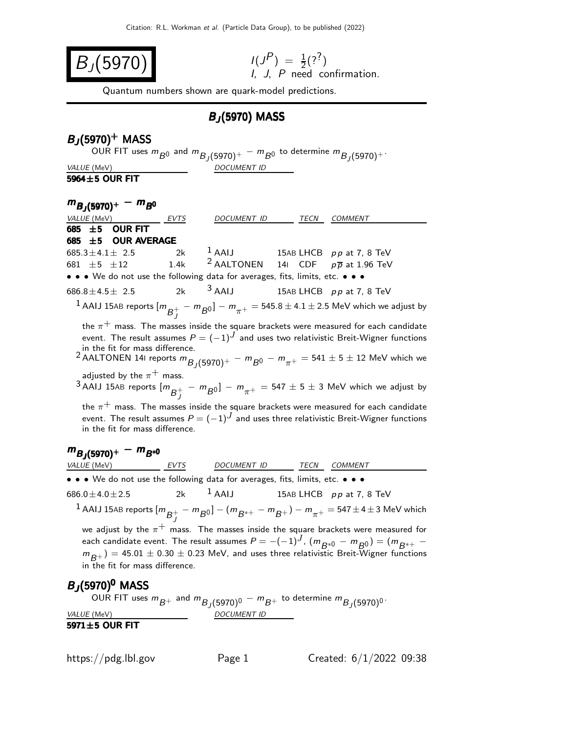$$
I(J^{P}) = \frac{1}{2}(?^{?})
$$
  
*I*, *J*, *P* need confirmation.

Quantum numbers shown are quark-model predictions.

# BJ (5970) MASS

# $B_J(5970)^+$  MASS

OUR FIT uses  $m_{\bar{B}^0}$  and  $m_{\bar{B}_J(5970)^+}-m_{\bar{B}^0}$  to determine  $m_{\bar{B}_J(5970)^+}.$ VALUE (MeV) DOCUMENT ID

5964±5 OUR FIT

| $m_{B_1(5970)^+} - m_{B^0}$                                                   |      |                          |                                                                                                                                                                                                                                                                                                               |
|-------------------------------------------------------------------------------|------|--------------------------|---------------------------------------------------------------------------------------------------------------------------------------------------------------------------------------------------------------------------------------------------------------------------------------------------------------|
| <i>VALUE</i> (MeV)                                                            | EVTS | DOCUMENT ID              | TECN COMMENT                                                                                                                                                                                                                                                                                                  |
| <b>OUR FIT</b><br>685 $\pm$ 5                                                 |      |                          |                                                                                                                                                                                                                                                                                                               |
| <b>OUR AVERAGE</b><br>685 $\pm$ 5                                             |      |                          |                                                                                                                                                                                                                                                                                                               |
| $685.3 \pm 4.1 \pm 2.5$                                                       | 2k   | $1$ AAIJ                 | 15AB LHCB $pp$ at 7, 8 TeV                                                                                                                                                                                                                                                                                    |
| 681 $\pm 5$ $\pm 12$                                                          | 1.4k | <sup>2</sup> AALTONEN    | 141 CDF $p\overline{p}$ at 1.96 TeV                                                                                                                                                                                                                                                                           |
| • • • We do not use the following data for averages, fits, limits, etc. • • • |      |                          |                                                                                                                                                                                                                                                                                                               |
| $686.8 \pm 4.5 \pm 2.5$                                                       | 2k   | $3$ AAIJ                 | 15AB LHCB pp at 7, 8 TeV                                                                                                                                                                                                                                                                                      |
|                                                                               |      |                          | $^{-1}$ AAIJ 15AB reports $[m_{\overline{B}^+_1} - m_{\overline{B}0}]-m_{\pi^+}=$ 545.8 $\pm$ 4.1 $\pm$ 2.5 MeV which we adjust by                                                                                                                                                                            |
| in the fit for mass difference.                                               |      |                          | the $\pi^+$ mass. The masses inside the square brackets were measured for each candidate<br>event. The result assumes $P = (-1)^J$ and uses two relativistic Breit-Wigner functions<br>2 AALTONEN 141 reports $m_{B_1(5970)^+} - m_{B^0} - m_{\pi^+} = 541 \pm 5 \pm 12$ MeV which we                         |
| adjusted by the $\pi^+$ mass.                                                 |      |                          | $3$ AAIJ 15AB reports $[m_{B}^+ - m_{B^0}] - m_{\pi^+} = 547 \pm 5 \pm 3$ MeV which we adjust by<br>the $\pi^+$ mass. The masses inside the square brackets were measured for each candidate                                                                                                                  |
| in the fit for mass difference.                                               |      |                          | event. The result assumes $P=(-1)^J$ and uses three relativistic Breit-Wigner functions                                                                                                                                                                                                                       |
| $m_{B_1(5970)^+} - m_{B^{*0}}$                                                |      |                          |                                                                                                                                                                                                                                                                                                               |
| VALUE (MeV) EVTS                                                              |      | DOCUMENT ID TECN COMMENT |                                                                                                                                                                                                                                                                                                               |
| • • • We do not use the following data for averages, fits, limits, etc. • • • |      |                          |                                                                                                                                                                                                                                                                                                               |
| 686.0 $\pm$ 4.0 $\pm$ 2.5                                                     | 2k   | $1$ AAIJ                 | 15AB LHCB pp at 7, 8 TeV                                                                                                                                                                                                                                                                                      |
|                                                                               |      |                          | $^{-1}$ AAIJ 15AB reports $[m_{\overline{B}^+_I} - m_{\overline{B}^0}]- (m_{\overline{B}^{*+}} - m_{\overline{B}^+}) - m_{\pi^+} =$ 547 $\pm$ 4 $\pm$ 3 MeV which                                                                                                                                             |
| in the fit for mass difference.                                               |      |                          | we adjust by the $\pi^+$ mass. The masses inside the square brackets were measured for<br>each candidate event. The result assumes $P = -(-1)^J$ , $(m_{B^{*0}} - m_{B^{0}}) = (m_{B^{*+}} - m_{B^{*+}})$<br>$m_{B+}$ ) = 45.01 $\pm$ 0.30 $\pm$ 0.23 MeV, and uses three relativistic Breit-Wigner functions |
| $B_J$ (5970) <sup>0</sup> MASS                                                |      |                          |                                                                                                                                                                                                                                                                                                               |

OUR FIT uses  $m_{\overline{B}+}$  and  $m_{\overline{B}_{J}(5970)^{0}}-m_{\overline{B}+}$  to determine  $m_{\overline{B}_{J}(5970)^{0}}.$ VALUE (MeV) DOCUMENT ID

5971±5 OUR FIT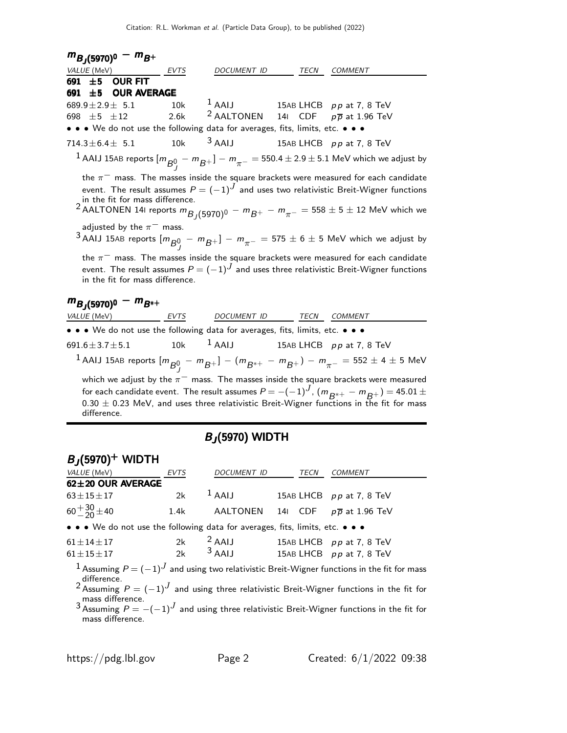| $m_{B_J(5970)^0} - m_{B^+}$                                                   |      |                          |      |                                                                                                                                                                                                                                                                                                      |
|-------------------------------------------------------------------------------|------|--------------------------|------|------------------------------------------------------------------------------------------------------------------------------------------------------------------------------------------------------------------------------------------------------------------------------------------------------|
| VALUE (MeV)                                                                   | EVTS | DOCUMENT ID              | TECN | <b>COMMENT</b>                                                                                                                                                                                                                                                                                       |
| <b>OUR FIT</b><br>691 $\pm$ 5                                                 |      |                          |      |                                                                                                                                                                                                                                                                                                      |
| <b>OUR AVERAGE</b><br>691 $±5$                                                |      |                          |      |                                                                                                                                                                                                                                                                                                      |
| 689.9 $\pm$ 2.9 $\pm$ 5.1                                                     | 10k  | $1$ AAIJ                 |      | 15AB LHCB pp at 7, 8 TeV                                                                                                                                                                                                                                                                             |
| 698 $\pm 5$ $\pm 12$                                                          | 2.6k | <sup>2</sup> AALTONEN    |      | 141 CDF $p\overline{p}$ at 1.96 TeV                                                                                                                                                                                                                                                                  |
| • • • We do not use the following data for averages, fits, limits, etc. • • • |      |                          |      |                                                                                                                                                                                                                                                                                                      |
| $714.3 \pm 6.4 \pm 5.1$                                                       | 10k  | $3$ AAIJ                 |      | 15AB LHCB pp at 7, 8 TeV                                                                                                                                                                                                                                                                             |
|                                                                               |      |                          |      | $^1$ AAIJ 15AB reports $[m_{\overline{B}^0_{\phantom{0}I}} - m_{\overline{B}^+}] - m_{\pi^-} =$ 550.4 $\pm$ 2.9 $\pm$ 5.1 MeV which we adjust by                                                                                                                                                     |
| in the fit for mass difference.                                               |      |                          |      | the $\pi^-$ mass. The masses inside the square brackets were measured for each candidate<br>event. The result assumes $P = (-1)^J$ and uses two relativistic Breit-Wigner functions<br><sup>2</sup> AALTONEN 141 reports $m_{B_1(5970)^0} - m_{B^+} - m_{\pi^-} = 558 \pm 5 \pm 12$ MeV which we     |
| adjusted by the $\pi^-$ mass.                                                 |      |                          |      | $3$ AAIJ 15AB reports $[m_{\overline{B}^0_1} - m_{\overline{B}^+}] - m_{\pi^-} = 575 \pm 6 \pm 5$ MeV which we adjust by                                                                                                                                                                             |
| in the fit for mass difference.                                               |      |                          |      | the $\pi^-$ mass. The masses inside the square brackets were measured for each candidate<br>event. The result assumes $P = (-1)^J$ and uses three relativistic Breit-Wigner functions                                                                                                                |
| $m_{B,(5970)^0} - m_{B^{*+}}$                                                 |      |                          |      |                                                                                                                                                                                                                                                                                                      |
| VALUE (MeV) EVTS                                                              |      | DOCUMENT ID TECN COMMENT |      |                                                                                                                                                                                                                                                                                                      |
| • • We do not use the following data for averages, fits, limits, etc. • • •   |      |                          |      |                                                                                                                                                                                                                                                                                                      |
| 691.6 $\pm$ 3.7 $\pm$ 5.1                                                     | 10k  | $1$ AAIJ                 |      | 15AB LHCB pp at 7, 8 TeV                                                                                                                                                                                                                                                                             |
|                                                                               |      |                          |      | $^{-1}$ AAIJ 15AB reports $[m_{\overline{B}^0_I} - m_{\overline{B}^+}] - (m_{\overline{B}^{*+}} - m_{\overline{B}^+}) - m_{\pi^-} = 552 \pm 4 \pm 5$ MeV                                                                                                                                             |
| difference.                                                                   |      |                          |      | which we adjust by the $\pi^-$ mass. The masses inside the square brackets were measured<br>for each candidate event. The result assumes $P = -(-1)^J$ , $(m_{R^{*+}} - m_{R^+}) = 45.01 \pm 10^{-3}$<br>$0.30 \pm 0.23$ MeV, and uses three relativistic Breit-Wigner functions in the fit for mass |

# BJ (5970) WIDTH

| $B_J(5970)^+$ WIDTH                                                           |             |                    |      |                                 |
|-------------------------------------------------------------------------------|-------------|--------------------|------|---------------------------------|
| <i>VALUE</i> (MeV)                                                            | <b>EVTS</b> | <b>DOCUMENT ID</b> | TECN | <b>COMMENT</b>                  |
| 62±20 OUR AVERAGE                                                             |             |                    |      |                                 |
| $63 \pm 15 \pm 17$                                                            | 2k          | $1$ AAIJ           |      | 15AB LHCB pp at 7, 8 TeV        |
| $60 + \frac{30}{20} \pm 40$                                                   | 1.4k        | AALTONEN           | 14I  | CDF $p\overline{p}$ at 1.96 TeV |
| • • • We do not use the following data for averages, fits, limits, etc. • • • |             |                    |      |                                 |
| $61 \pm 14 \pm 17$                                                            | 2k          | $2$ AAIJ           |      | 15AB LHCB pp at 7, 8 TeV        |
| $61 \pm 15 \pm 17$                                                            | 2k          | $3$ AAIJ           |      | 15AB LHCB pp at 7, 8 TeV        |

 $1$  Assuming  $P = (-1)^J$  and using two relativistic Breit-Wigner functions in the fit for mass

difference.<br><sup>2</sup> Assuming P = (−1)<sup>J</sup> and using three relativistic Breit-Wigner functions in the fit for

mass difference.<br><sup>3</sup> Assuming  $P=-(-1)^J$  and using three relativistic Breit-Wigner functions in the fit for mass difference.